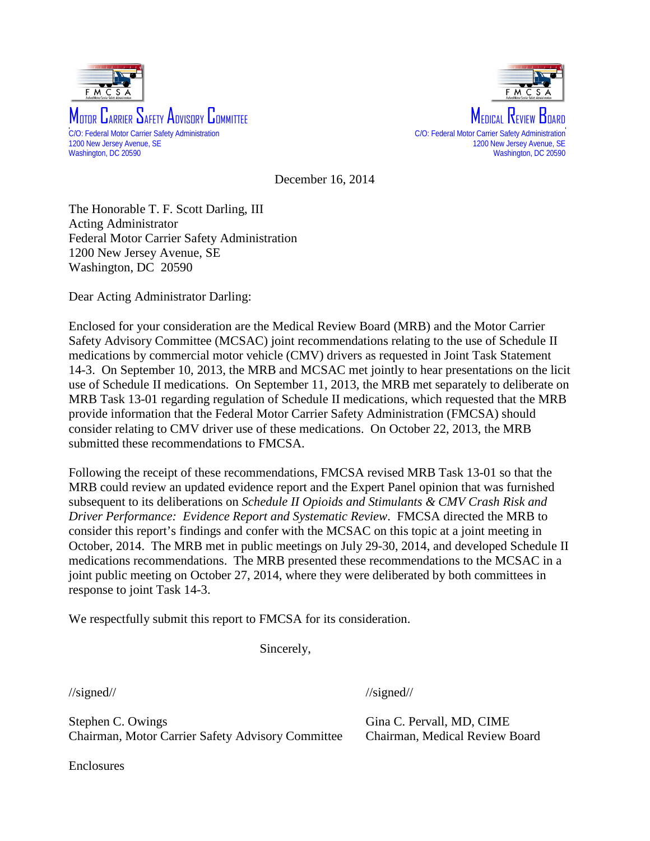



December 16, 2014

The Honorable T. F. Scott Darling, III Acting Administrator Federal Motor Carrier Safety Administration 1200 New Jersey Avenue, SE Washington, DC 20590

Dear Acting Administrator Darling:

Enclosed for your consideration are the Medical Review Board (MRB) and the Motor Carrier Safety Advisory Committee (MCSAC) joint recommendations relating to the use of Schedule II medications by commercial motor vehicle (CMV) drivers as requested in Joint Task Statement 14-3. On September 10, 2013, the MRB and MCSAC met jointly to hear presentations on the licit use of Schedule II medications. On September 11, 2013, the MRB met separately to deliberate on MRB Task 13-01 regarding regulation of Schedule II medications, which requested that the MRB provide information that the Federal Motor Carrier Safety Administration (FMCSA) should consider relating to CMV driver use of these medications. On October 22, 2013, the MRB submitted these recommendations to FMCSA.

Following the receipt of these recommendations, FMCSA revised MRB Task 13-01 so that the MRB could review an updated evidence report and the Expert Panel opinion that was furnished subsequent to its deliberations on *Schedule II Opioids and Stimulants & CMV Crash Risk and Driver Performance: Evidence Report and Systematic Review*. FMCSA directed the MRB to consider this report's findings and confer with the MCSAC on this topic at a joint meeting in October, 2014. The MRB met in public meetings on July 29-30, 2014, and developed Schedule II medications recommendations. The MRB presented these recommendations to the MCSAC in a joint public meeting on October 27, 2014, where they were deliberated by both committees in response to joint Task 14-3.

We respectfully submit this report to FMCSA for its consideration.

Sincerely,

//signed//

Stephen C. Owings Chairman, Motor Carrier Safety Advisory Committee //signed//

Gina C. Pervall, MD, CIME Chairman, Medical Review Board

Enclosures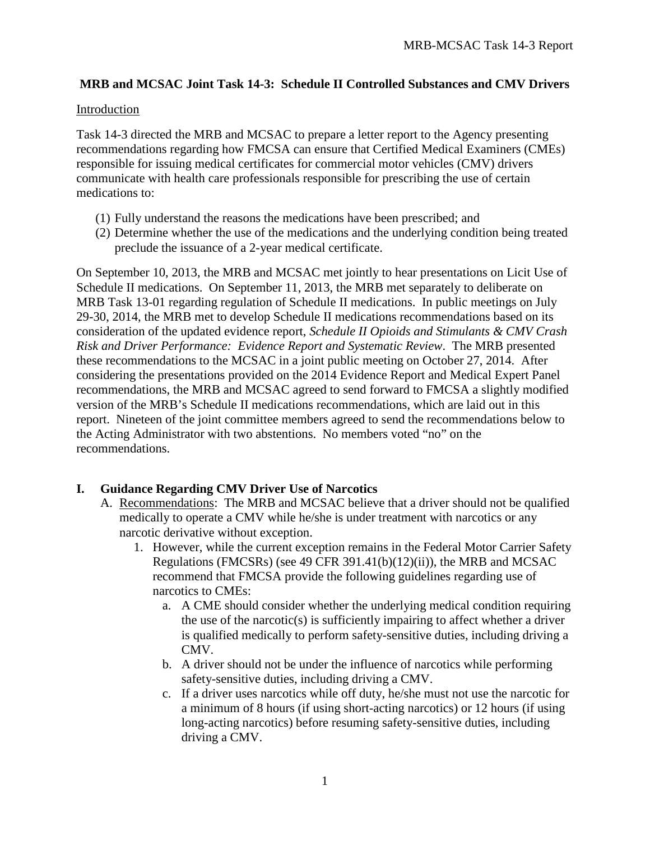## **MRB and MCSAC Joint Task 14-3: Schedule II Controlled Substances and CMV Drivers**

### Introduction

Task 14-3 directed the MRB and MCSAC to prepare a letter report to the Agency presenting recommendations regarding how FMCSA can ensure that Certified Medical Examiners (CMEs) responsible for issuing medical certificates for commercial motor vehicles (CMV) drivers communicate with health care professionals responsible for prescribing the use of certain medications to:

- (1) Fully understand the reasons the medications have been prescribed; and
- (2) Determine whether the use of the medications and the underlying condition being treated preclude the issuance of a 2-year medical certificate.

On September 10, 2013, the MRB and MCSAC met jointly to hear presentations on Licit Use of Schedule II medications. On September 11, 2013, the MRB met separately to deliberate on MRB Task 13-01 regarding regulation of Schedule II medications. In public meetings on July 29-30, 2014, the MRB met to develop Schedule II medications recommendations based on its consideration of the updated evidence report, *Schedule II Opioids and Stimulants & CMV Crash Risk and Driver Performance: Evidence Report and Systematic Review*. The MRB presented these recommendations to the MCSAC in a joint public meeting on October 27, 2014. After considering the presentations provided on the 2014 Evidence Report and Medical Expert Panel recommendations, the MRB and MCSAC agreed to send forward to FMCSA a slightly modified version of the MRB's Schedule II medications recommendations, which are laid out in this report. Nineteen of the joint committee members agreed to send the recommendations below to the Acting Administrator with two abstentions. No members voted "no" on the recommendations.

## **I. Guidance Regarding CMV Driver Use of Narcotics**

- A. Recommendations: The MRB and MCSAC believe that a driver should not be qualified medically to operate a CMV while he/she is under treatment with narcotics or any narcotic derivative without exception.
	- 1. However, while the current exception remains in the Federal Motor Carrier Safety Regulations (FMCSRs) (see 49 CFR 391.41(b)(12)(ii)), the MRB and MCSAC recommend that FMCSA provide the following guidelines regarding use of narcotics to CMEs:
		- a. A CME should consider whether the underlying medical condition requiring the use of the narcotic(s) is sufficiently impairing to affect whether a driver is qualified medically to perform safety-sensitive duties, including driving a CMV.
		- b. A driver should not be under the influence of narcotics while performing safety-sensitive duties, including driving a CMV.
		- c. If a driver uses narcotics while off duty, he/she must not use the narcotic for a minimum of 8 hours (if using short-acting narcotics) or 12 hours (if using long-acting narcotics) before resuming safety-sensitive duties, including driving a CMV.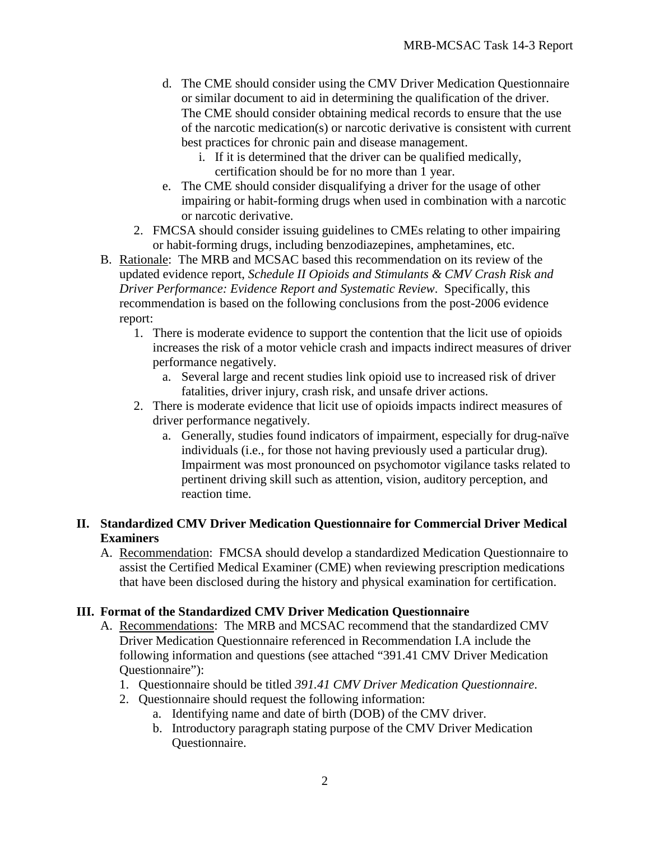- d. The CME should consider using the CMV Driver Medication Questionnaire or similar document to aid in determining the qualification of the driver. The CME should consider obtaining medical records to ensure that the use of the narcotic medication(s) or narcotic derivative is consistent with current best practices for chronic pain and disease management.
	- i. If it is determined that the driver can be qualified medically, certification should be for no more than 1 year.
- e. The CME should consider disqualifying a driver for the usage of other impairing or habit-forming drugs when used in combination with a narcotic or narcotic derivative.
- 2. FMCSA should consider issuing guidelines to CMEs relating to other impairing or habit-forming drugs, including benzodiazepines, amphetamines, etc.
- B. Rationale: The MRB and MCSAC based this recommendation on its review of the updated evidence report, *Schedule II Opioids and Stimulants & CMV Crash Risk and Driver Performance: Evidence Report and Systematic Review*. Specifically, this recommendation is based on the following conclusions from the post-2006 evidence report:
	- 1. There is moderate evidence to support the contention that the licit use of opioids increases the risk of a motor vehicle crash and impacts indirect measures of driver performance negatively.
		- a. Several large and recent studies link opioid use to increased risk of driver fatalities, driver injury, crash risk, and unsafe driver actions.
	- 2. There is moderate evidence that licit use of opioids impacts indirect measures of driver performance negatively.
		- a. Generally, studies found indicators of impairment, especially for drug-naïve individuals (i.e., for those not having previously used a particular drug). Impairment was most pronounced on psychomotor vigilance tasks related to pertinent driving skill such as attention, vision, auditory perception, and reaction time.

## **II. Standardized CMV Driver Medication Questionnaire for Commercial Driver Medical Examiners**

A. Recommendation: FMCSA should develop a standardized Medication Questionnaire to assist the Certified Medical Examiner (CME) when reviewing prescription medications that have been disclosed during the history and physical examination for certification.

## **III. Format of the Standardized CMV Driver Medication Questionnaire**

- A. Recommendations: The MRB and MCSAC recommend that the standardized CMV Driver Medication Questionnaire referenced in Recommendation I.A include the following information and questions (see attached "391.41 CMV Driver Medication Questionnaire"):
	- 1. Questionnaire should be titled *391.41 CMV Driver Medication Questionnaire*.
	- 2. Questionnaire should request the following information:
		- a. Identifying name and date of birth (DOB) of the CMV driver.
		- b. Introductory paragraph stating purpose of the CMV Driver Medication Questionnaire.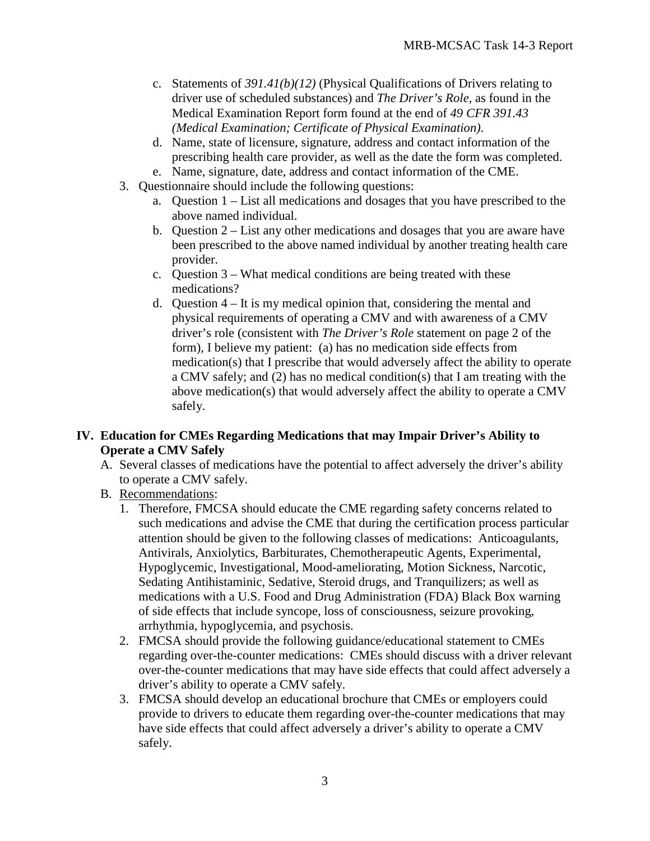- c. Statements of *391.41(b)(12)* (Physical Qualifications of Drivers relating to driver use of scheduled substances) and *The Driver's Role,* as found in the Medical Examination Report form found at the end of *49 CFR 391.43 (Medical Examination; Certificate of Physical Examination)*.
- d. Name, state of licensure, signature, address and contact information of the prescribing health care provider, as well as the date the form was completed.
- e. Name, signature, date, address and contact information of the CME.
- 3. Questionnaire should include the following questions:
	- a. Question 1 List all medications and dosages that you have prescribed to the above named individual.
	- b. Question 2 List any other medications and dosages that you are aware have been prescribed to the above named individual by another treating health care provider.
	- c. Question 3 What medical conditions are being treated with these medications?
	- d. Question 4 It is my medical opinion that, considering the mental and physical requirements of operating a CMV and with awareness of a CMV driver's role (consistent with *The Driver's Role* statement on page 2 of the form), I believe my patient: (a) has no medication side effects from medication(s) that I prescribe that would adversely affect the ability to operate a CMV safely; and (2) has no medical condition(s) that I am treating with the above medication(s) that would adversely affect the ability to operate a CMV safely.

## **IV. Education for CMEs Regarding Medications that may Impair Driver's Ability to Operate a CMV Safely**

- A. Several classes of medications have the potential to affect adversely the driver's ability to operate a CMV safely.
- B. Recommendations:
	- 1. Therefore, FMCSA should educate the CME regarding safety concerns related to such medications and advise the CME that during the certification process particular attention should be given to the following classes of medications: Anticoagulants, Antivirals, Anxiolytics, Barbiturates, Chemotherapeutic Agents, Experimental, Hypoglycemic, Investigational, Mood-ameliorating, Motion Sickness, Narcotic, Sedating Antihistaminic, Sedative, Steroid drugs, and Tranquilizers; as well as medications with a U.S. Food and Drug Administration (FDA) Black Box warning of side effects that include syncope, loss of consciousness, seizure provoking, arrhythmia, hypoglycemia, and psychosis.
	- 2. FMCSA should provide the following guidance/educational statement to CMEs regarding over-the-counter medications: CMEs should discuss with a driver relevant over-the-counter medications that may have side effects that could affect adversely a driver's ability to operate a CMV safely.
	- 3. FMCSA should develop an educational brochure that CMEs or employers could provide to drivers to educate them regarding over-the-counter medications that may have side effects that could affect adversely a driver's ability to operate a CMV safely.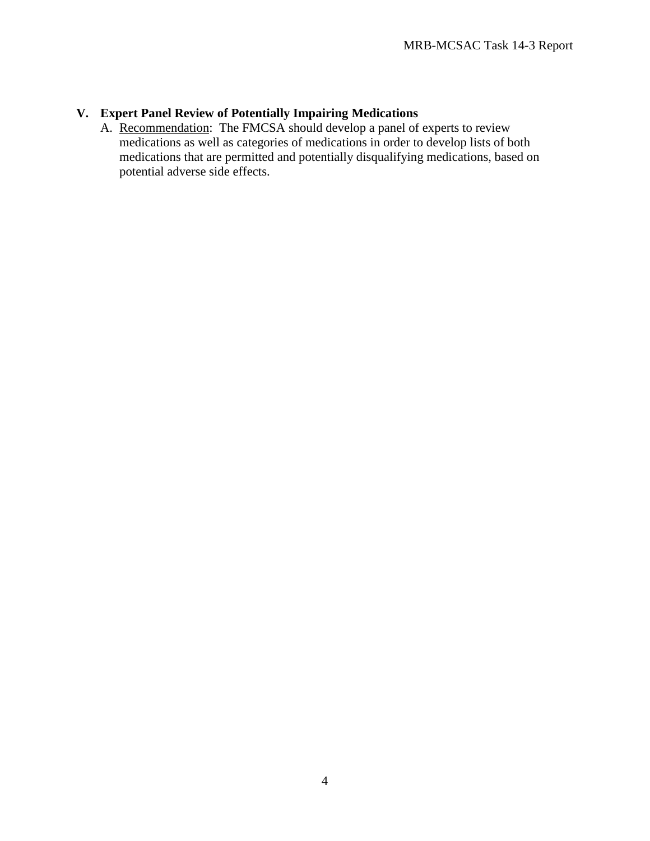# **V. Expert Panel Review of Potentially Impairing Medications**

A. Recommendation: The FMCSA should develop a panel of experts to review medications as well as categories of medications in order to develop lists of both medications that are permitted and potentially disqualifying medications, based on potential adverse side effects.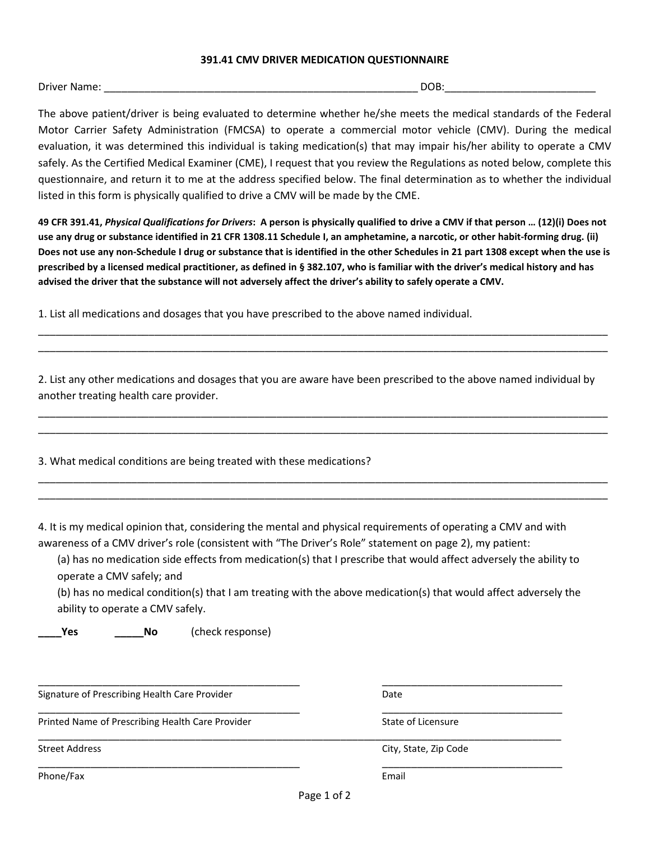#### **391.41 CMV DRIVER MEDICATION QUESTIONNAIRE**

Driver Name: \_\_\_\_\_\_\_\_\_\_\_\_\_\_\_\_\_\_\_\_\_\_\_\_\_\_\_\_\_\_\_\_\_\_\_\_\_\_\_\_\_\_\_\_\_\_\_\_\_\_\_\_\_\_ DOB:\_\_\_\_\_\_\_\_\_\_\_\_\_\_\_\_\_\_\_\_\_\_\_\_\_\_

The above patient/driver is being evaluated to determine whether he/she meets the medical standards of the Federal Motor Carrier Safety Administration (FMCSA) to operate a commercial motor vehicle (CMV). During the medical evaluation, it was determined this individual is taking medication(s) that may impair his/her ability to operate a CMV safely. As the Certified Medical Examiner (CME), I request that you review the Regulations as noted below, complete this questionnaire, and return it to me at the address specified below. The final determination as to whether the individual listed in this form is physically qualified to drive a CMV will be made by the CME.

**49 CFR 391.41,** *Physical Qualifications for Drivers***: A person is physically qualified to drive a CMV if that person … (12)(i) Does not use any drug or substance identified in 21 CFR 1308.11 Schedule I, an amphetamine, a narcotic, or other habit-forming drug. (ii) Does not use any non-Schedule I drug or substance that is identified in the other Schedules in 21 part 1308 except when the use is prescribed by a licensed medical practitioner, as defined in § 382.107, who is familiar with the driver's medical history and has advised the driver that the substance will not adversely affect the driver's ability to safely operate a CMV.**

1. List all medications and dosages that you have prescribed to the above named individual.

2. List any other medications and dosages that you are aware have been prescribed to the above named individual by another treating health care provider.

\_\_\_\_\_\_\_\_\_\_\_\_\_\_\_\_\_\_\_\_\_\_\_\_\_\_\_\_\_\_\_\_\_\_\_\_\_\_\_\_\_\_\_\_\_\_\_\_\_\_\_\_\_\_\_\_\_\_\_\_\_\_\_\_\_\_\_\_\_\_\_\_\_\_\_\_\_\_\_\_\_\_\_\_\_\_\_\_\_\_\_\_\_\_\_\_\_\_ \_\_\_\_\_\_\_\_\_\_\_\_\_\_\_\_\_\_\_\_\_\_\_\_\_\_\_\_\_\_\_\_\_\_\_\_\_\_\_\_\_\_\_\_\_\_\_\_\_\_\_\_\_\_\_\_\_\_\_\_\_\_\_\_\_\_\_\_\_\_\_\_\_\_\_\_\_\_\_\_\_\_\_\_\_\_\_\_\_\_\_\_\_\_\_\_\_\_

\_\_\_\_\_\_\_\_\_\_\_\_\_\_\_\_\_\_\_\_\_\_\_\_\_\_\_\_\_\_\_\_\_\_\_\_\_\_\_\_\_\_\_\_\_\_\_\_\_\_\_\_\_\_\_\_\_\_\_\_\_\_\_\_\_\_\_\_\_\_\_\_\_\_\_\_\_\_\_\_\_\_\_\_\_\_\_\_\_\_\_\_\_\_\_\_\_\_ \_\_\_\_\_\_\_\_\_\_\_\_\_\_\_\_\_\_\_\_\_\_\_\_\_\_\_\_\_\_\_\_\_\_\_\_\_\_\_\_\_\_\_\_\_\_\_\_\_\_\_\_\_\_\_\_\_\_\_\_\_\_\_\_\_\_\_\_\_\_\_\_\_\_\_\_\_\_\_\_\_\_\_\_\_\_\_\_\_\_\_\_\_\_\_\_\_\_

\_\_\_\_\_\_\_\_\_\_\_\_\_\_\_\_\_\_\_\_\_\_\_\_\_\_\_\_\_\_\_\_\_\_\_\_\_\_\_\_\_\_\_\_\_\_\_\_\_\_\_\_\_\_\_\_\_\_\_\_\_\_\_\_\_\_\_\_\_\_\_\_\_\_\_\_\_\_\_\_\_\_\_\_\_\_\_\_\_\_\_\_\_\_\_\_\_\_ \_\_\_\_\_\_\_\_\_\_\_\_\_\_\_\_\_\_\_\_\_\_\_\_\_\_\_\_\_\_\_\_\_\_\_\_\_\_\_\_\_\_\_\_\_\_\_\_\_\_\_\_\_\_\_\_\_\_\_\_\_\_\_\_\_\_\_\_\_\_\_\_\_\_\_\_\_\_\_\_\_\_\_\_\_\_\_\_\_\_\_\_\_\_\_\_\_\_

3. What medical conditions are being treated with these medications?

4. It is my medical opinion that, considering the mental and physical requirements of operating a CMV and with awareness of a CMV driver's role (consistent with "The Driver's Role" statement on page 2), my patient:

(a) has no medication side effects from medication(s) that I prescribe that would affect adversely the ability to operate a CMV safely; and

(b) has no medical condition(s) that I am treating with the above medication(s) that would affect adversely the ability to operate a CMV safely.

**\_\_\_\_Yes \_\_\_\_\_No** (check response)

\_\_\_\_\_\_\_\_\_\_\_\_\_\_\_\_\_\_\_\_\_\_\_\_\_\_\_\_\_\_\_\_\_\_\_\_\_\_\_\_\_\_\_\_\_ \_\_\_\_\_\_\_\_\_\_\_\_\_\_\_\_\_\_\_\_\_\_\_\_\_\_\_\_\_\_\_ Signature of Prescribing Health Care Provider **Date** Date

\_\_\_\_\_\_\_\_\_\_\_\_\_\_\_\_\_\_\_\_\_\_\_\_\_\_\_\_\_\_\_\_\_\_\_\_\_\_\_\_\_\_\_\_\_ \_\_\_\_\_\_\_\_\_\_\_\_\_\_\_\_\_\_\_\_\_\_\_\_\_\_\_\_\_\_\_ Printed Name of Prescribing Health Care Provider State of Licensure State of Licensure

\_\_\_\_\_\_\_\_\_\_\_\_\_\_\_\_\_\_\_\_\_\_\_\_\_\_\_\_\_\_\_\_\_\_\_\_\_\_\_\_\_\_\_\_\_\_\_\_\_\_\_\_\_\_\_\_\_\_\_\_\_\_\_\_\_\_\_\_\_\_\_\_\_\_\_\_\_\_\_\_\_\_\_\_\_\_\_\_\_\_

Street Address **City, State, Zip Code** 

Phone/Fax Email

Page 1 of 2

\_\_\_\_\_\_\_\_\_\_\_\_\_\_\_\_\_\_\_\_\_\_\_\_\_\_\_\_\_\_\_\_\_\_\_\_\_\_\_\_\_\_\_\_\_ \_\_\_\_\_\_\_\_\_\_\_\_\_\_\_\_\_\_\_\_\_\_\_\_\_\_\_\_\_\_\_